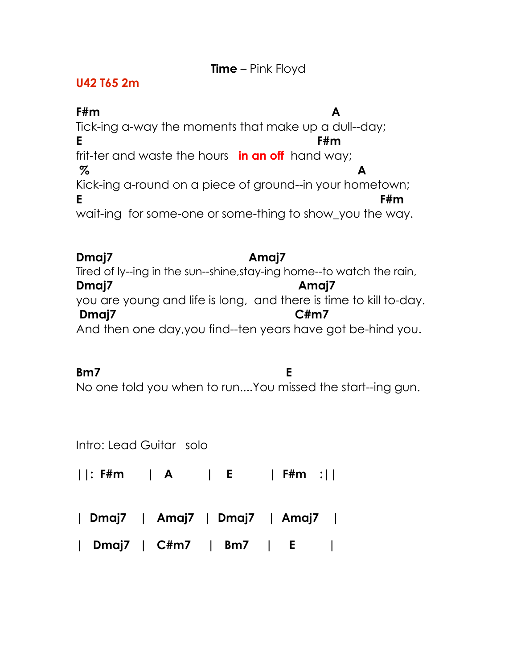## **Time** – Pink Floyd

## **U42 T65 2m**

**F#m A** Tick-ing a-way the moments that make up a dull--day; **E F#m** frit-ter and waste the hours **in an off** hand way;  **% A** Kick-ing a-round on a piece of ground--in your hometown; **E** F#m wait-ing for some-one or some-thing to show you the way.

**Dmaj7 Amaj7** Tired of ly--ing in the sun--shine,stay-ing home--to watch the rain, **Dmaj7 Amaj7**  you are young and life is long, and there is time to kill to-day.  **Dmaj7 C#m7** And then one day,you find--ten years have got be-hind you.

**Bm7 E**  No one told you when to run....You missed the start--ing gun.

Intro: Lead Guitar solo

**||: F#m | A | E | F#m :||**

**| Dmaj7 | Amaj7 | Dmaj7 | Amaj7 |**

**| Dmaj7 | C#m7 | Bm7 | E |**